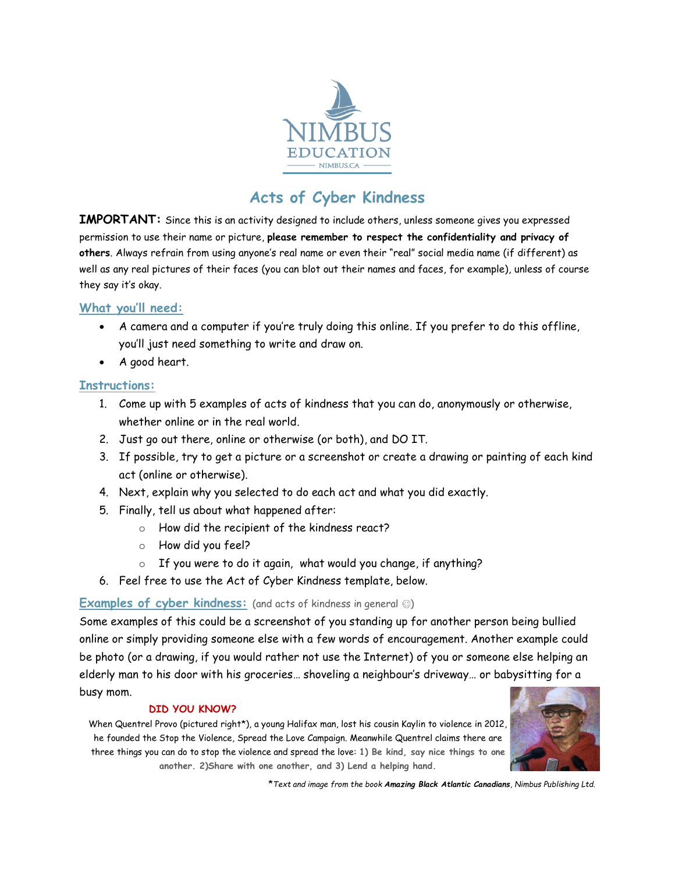

# **Acts of Cyber Kindness**

**IMPORTANT:** Since this is an activity designed to include others, unless someone gives you expressed permission to use their name or picture, **please remember to respect the confidentiality and privacy of others**. Always refrain from using anyone's real name or even their "real" social media name (if different) as well as any real pictures of their faces (you can blot out their names and faces, for example), unless of course they say it's okay.

### **What you'll need:**

- A camera and a computer if you're truly doing this online. If you prefer to do this offline, you'll just need something to write and draw on.
- A good heart.

### **Instructions:**

- 1. Come up with 5 examples of acts of kindness that you can do, anonymously or otherwise, whether online or in the real world.
- 2. Just go out there, online or otherwise (or both), and DO IT.
- 3. If possible, try to get a picture or a screenshot or create a drawing or painting of each kind act (online or otherwise).
- 4. Next, explain why you selected to do each act and what you did exactly.
- 5. Finally, tell us about what happened after:
	- o How did the recipient of the kindness react?
	- o How did you feel?
	- o If you were to do it again, what would you change, if anything?
- 6. Feel free to use the Act of Cyber Kindness template, below.

### **Examples of cyber kindness:** (and acts of kindness in general  $\circledcirc$ )

Some examples of this could be a screenshot of you standing up for another person being bullied online or simply providing someone else with a few words of encouragement. Another example could be photo (or a drawing, if you would rather not use the Internet) of you or someone else helping an elderly man to his door with his groceries… shoveling a neighbour's driveway… or babysitting for a busy mom.

#### **DID YOU KNOW?**

When Quentrel Provo (pictured right\*), a young Halifax man, lost his cousin Kaylin to violence in 2012, he founded the Stop the Violence, Spread the Love Campaign. Meanwhile Quentrel claims there are three things you can do to stop the violence and spread the love: **1) Be kind, say nice things to one another. 2)Share with one another, and 3) Lend a helping hand.**



\**Text and image from the book Amazing Black Atlantic Canadians, Nimbus Publishing Ltd.*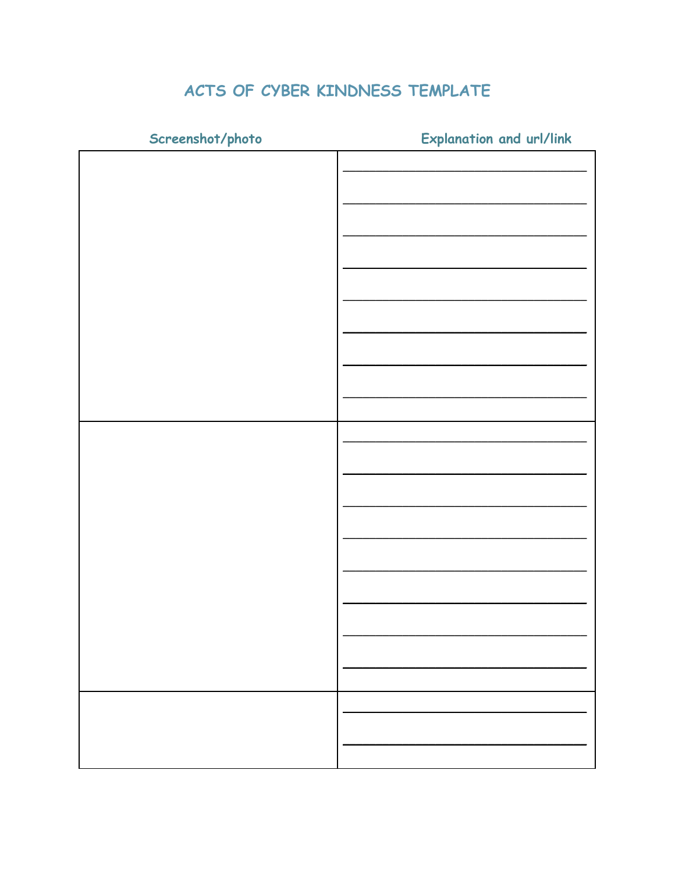# ACTS OF CYBER KINDNESS TEMPLATE

Screenshot/photo

**Explanation and url/link**